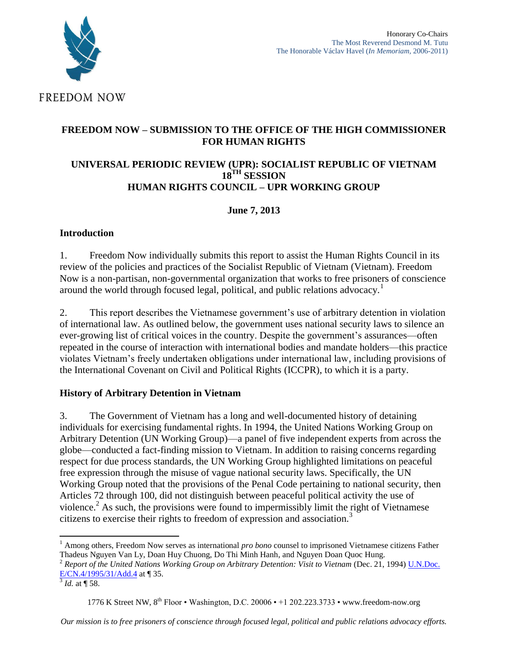

## **FREEDOM NOW – SUBMISSION TO THE OFFICE OF THE HIGH COMMISSIONER FOR HUMAN RIGHTS**

#### **UNIVERSAL PERIODIC REVIEW (UPR): SOCIALIST REPUBLIC OF VIETNAM 18TH SESSION HUMAN RIGHTS COUNCIL – UPR WORKING GROUP**

# **June 7, 2013**

## **Introduction**

1. Freedom Now individually submits this report to assist the Human Rights Council in its review of the policies and practices of the Socialist Republic of Vietnam (Vietnam). Freedom Now is a non-partisan, non-governmental organization that works to free prisoners of conscience around the world through focused legal, political, and public relations advocacy.<sup>1</sup>

2. This report describes the Vietnamese government's use of arbitrary detention in violation of international law. As outlined below, the government uses national security laws to silence an ever-growing list of critical voices in the country. Despite the government's assurances—often repeated in the course of interaction with international bodies and mandate holders—this practice violates Vietnam's freely undertaken obligations under international law, including provisions of the International Covenant on Civil and Political Rights (ICCPR), to which it is a party.

## **History of Arbitrary Detention in Vietnam**

3. The Government of Vietnam has a long and well-documented history of detaining individuals for exercising fundamental rights. In 1994, the United Nations Working Group on Arbitrary Detention (UN Working Group)—a panel of five independent experts from across the globe—conducted a fact-finding mission to Vietnam. In addition to raising concerns regarding respect for due process standards, the UN Working Group highlighted limitations on peaceful free expression through the misuse of vague national security laws. Specifically, the UN Working Group noted that the provisions of the Penal Code pertaining to national security, then Articles 72 through 100, did not distinguish between peaceful political activity the use of violence.<sup>2</sup> As such, the provisions were found to impermissibly limit the right of Vietnamese citizens to exercise their rights to freedom of expression and association.<sup>3</sup>

 $\overline{\phantom{a}}$ <sup>1</sup> Among others, Freedom Now serves as international *pro bono* counsel to imprisoned Vietnamese citizens Father Thadeus Nguyen Van Ly, Doan Huy Chuong, Do Thi Minh Hanh, and Nguyen Doan Quoc Hung.

<sup>&</sup>lt;sup>2</sup> Report of the United Nations Working Group on Arbitrary Detention: Visit to Vietnam (Dec. 21, 1994) *U.N.Doc.* [E/CN.4/1995/31/Add.4](http://daccess-dds-ny.un.org/doc/UNDOC/GEN/G94/751/47/PDF/G9475147.pdf) at ¶ 35.

 $^{3}$  *Id.* at  $\P$  58.

<sup>1776</sup> K Street NW, 8<sup>th</sup> Floor • Washington, D.C. 20006 • +1 202.223.3733 • www.freedom-now.org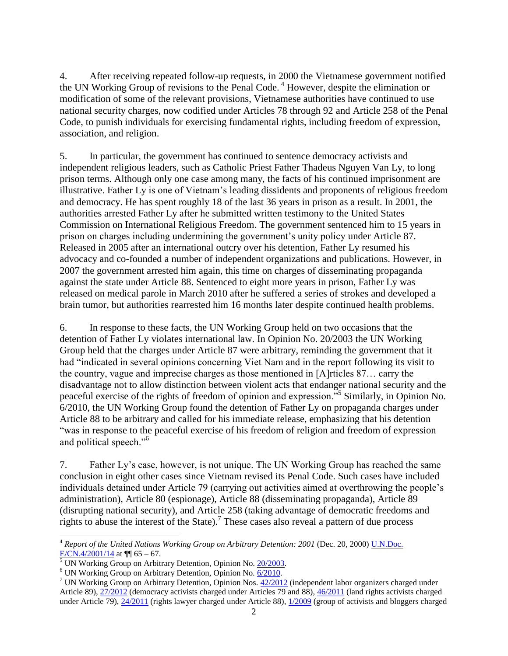4. After receiving repeated follow-up requests, in 2000 the Vietnamese government notified the UN Working Group of revisions to the Penal Code.<sup>4</sup> However, despite the elimination or modification of some of the relevant provisions, Vietnamese authorities have continued to use national security charges, now codified under Articles 78 through 92 and Article 258 of the Penal Code, to punish individuals for exercising fundamental rights, including freedom of expression, association, and religion.

5. In particular, the government has continued to sentence democracy activists and independent religious leaders, such as Catholic Priest Father Thadeus Nguyen Van Ly, to long prison terms. Although only one case among many, the facts of his continued imprisonment are illustrative. Father Ly is one of Vietnam's leading dissidents and proponents of religious freedom and democracy. He has spent roughly 18 of the last 36 years in prison as a result. In 2001, the authorities arrested Father Ly after he submitted written testimony to the United States Commission on International Religious Freedom. The government sentenced him to 15 years in prison on charges including undermining the government's unity policy under Article 87. Released in 2005 after an international outcry over his detention, Father Ly resumed his advocacy and co-founded a number of independent organizations and publications. However, in 2007 the government arrested him again, this time on charges of disseminating propaganda against the state under Article 88. Sentenced to eight more years in prison, Father Ly was released on medical parole in March 2010 after he suffered a series of strokes and developed a brain tumor, but authorities rearrested him 16 months later despite continued health problems.

6. In response to these facts, the UN Working Group held on two occasions that the detention of Father Ly violates international law. In Opinion No. 20/2003 the UN Working Group held that the charges under Article 87 were arbitrary, reminding the government that it had "indicated in several opinions concerning Viet Nam and in the report following its visit to the country, vague and imprecise charges as those mentioned in [A]rticles 87… carry the disadvantage not to allow distinction between violent acts that endanger national security and the peaceful exercise of the rights of freedom of opinion and expression.<sup>55</sup> Similarly, in Opinion No. 6/2010, the UN Working Group found the detention of Father Ly on propaganda charges under Article 88 to be arbitrary and called for his immediate release, emphasizing that his detention "was in response to the peaceful exercise of his freedom of religion and freedom of expression and political speech."<sup>6</sup>

7. Father Ly's case, however, is not unique. The UN Working Group has reached the same conclusion in eight other cases since Vietnam revised its Penal Code. Such cases have included individuals detained under Article 79 (carrying out activities aimed at overthrowing the people's administration), Article 80 (espionage), Article 88 (disseminating propaganda), Article 89 (disrupting national security), and Article 258 (taking advantage of democratic freedoms and rights to abuse the interest of the State).<sup>7</sup> These cases also reveal a pattern of due process

l

<sup>4</sup> *Report of the United Nations Working Group on Arbitrary Detention: 2001* (Dec. 20, 2000) [U.N.Doc.](http://daccess-dds-ny.un.org/doc/UNDOC/GEN/G00/161/45/PDF/G0016145.pdf)  [E/CN.4/2001/14](http://daccess-dds-ny.un.org/doc/UNDOC/GEN/G00/161/45/PDF/G0016145.pdf) at  $\P$  65 – 67.

 $rac{1}{5}$  UN Working Group on Arbitrary Detention, Opinion No. [20/2003.](http://www.unwgaddatabase.org/un/Document.aspx?id=2201)

<sup>&</sup>lt;sup>6</sup> UN Working Group on Arbitrary Detention, Opinion No. [6/2010.](http://www.unwgaddatabase.org/un/Document.aspx?id=2405)

<sup>&</sup>lt;sup>7</sup> UN Working Group on Arbitrary Detention, Opinion Nos.  $42/2012$  (independent labor organizers charged under Article 89)[, 27/2012](http://daccess-dds-ny.un.org/doc/UNDOC/GEN/G12/182/93/PDF/G1218293.pdf?OpenElement) (democracy activists charged under Articles 79 and 88), [46/2011](http://www.unwgaddatabase.org/un/Document.aspx?id=2798) (land rights activists charged under Article 79), [24/2011](http://www.unwgaddatabase.org/un/Document.aspx?id=2806) (rights lawyer charged under Article 88)[, 1/2009](http://www.unwgaddatabase.org/un/Document.aspx?id=2371) (group of activists and bloggers charged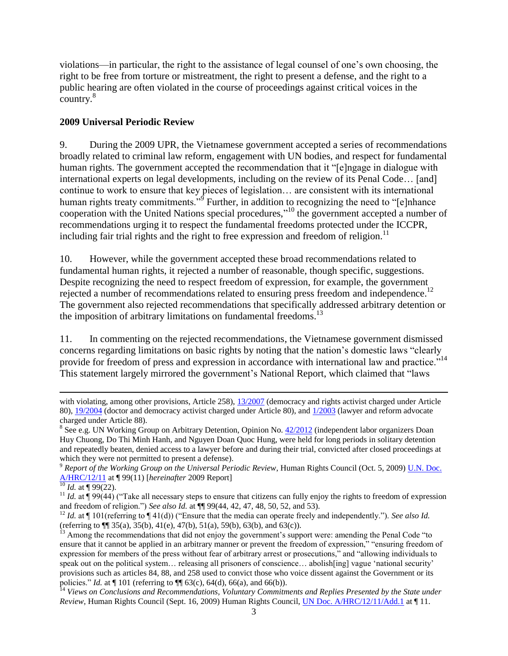violations—in particular, the right to the assistance of legal counsel of one's own choosing, the right to be free from torture or mistreatment, the right to present a defense, and the right to a public hearing are often violated in the course of proceedings against critical voices in the country.<sup>8</sup>

#### **2009 Universal Periodic Review**

9. During the 2009 UPR, the Vietnamese government accepted a series of recommendations broadly related to criminal law reform, engagement with UN bodies, and respect for fundamental human rights. The government accepted the recommendation that it "[e]ngage in dialogue with international experts on legal developments, including on the review of its Penal Code… [and] continue to work to ensure that key pieces of legislation… are consistent with its international human rights treaty commitments."<sup>9</sup> Further, in addition to recognizing the need to "[e]nhance cooperation with the United Nations special procedures," <sup>10</sup> the government accepted a number of recommendations urging it to respect the fundamental freedoms protected under the ICCPR, including fair trial rights and the right to free expression and freedom of religion.<sup>11</sup>

10. However, while the government accepted these broad recommendations related to fundamental human rights, it rejected a number of reasonable, though specific, suggestions. Despite recognizing the need to respect freedom of expression, for example, the government rejected a number of recommendations related to ensuring press freedom and independence.<sup>12</sup> The government also rejected recommendations that specifically addressed arbitrary detention or the imposition of arbitrary limitations on fundamental freedoms.<sup>13</sup>

11. In commenting on the rejected recommendations, the Vietnamese government dismissed concerns regarding limitations on basic rights by noting that the nation's domestic laws "clearly provide for freedom of press and expression in accordance with international law and practice."<sup>14</sup> This statement largely mirrored the government's National Report, which claimed that "laws

 $\overline{\phantom{a}}$ 

with violating, among other provisions, Article 258), [13/2007](http://www.unwgaddatabase.org/un/Document.aspx?id=2340) (democracy and rights activist charged under Article 80), [19/2004](http://www.unwgaddatabase.org/un/Document.aspx?id=2226) (doctor and democracy activist charged under Article 80), an[d 1/2003](http://www.unwgaddatabase.org/un/Document.aspx?id=2182) (lawyer and reform advocate charged under Article 88).

<sup>&</sup>lt;sup>8</sup> See e.g. UN Working Group on Arbitrary Detention, Opinion No. [42/2012](http://daccess-dds-ny.un.org/doc/UNDOC/GEN/G13/112/96/PDF/G1311296.pdf) (independent labor organizers Doan Huy Chuong, Do Thi Minh Hanh, and Nguyen Doan Quoc Hung, were held for long periods in solitary detention and repeatedly beaten, denied access to a lawyer before and during their trial, convicted after closed proceedings at which they were not permitted to present a defense).

<sup>&</sup>lt;sup>9</sup> Report of the Working Group on the Universal Periodic Review, Human Rights Council (Oct. 5, 2009) U.N. Doc. [A/HRC/12/11](http://daccess-dds-ny.un.org/doc/UNDOC/GEN/G09/163/82/PDF/G0916382.pdf) at ¶ 99(11) [*hereinafter* 2009 Report]

 $^{10}$  *Id.* at ¶ 99(22).

<sup>&</sup>lt;sup>11</sup> *Id.* at  $\overline{P}$  99(44) ("Take all necessary steps to ensure that citizens can fully enjoy the rights to freedom of expression and freedom of religion.") *See also Id.* at ¶¶ 99(44, 42, 47, 48, 50, 52, and 53).

<sup>&</sup>lt;sup>12</sup> *Id.* at ¶ 101(referring to ¶ 41(d)) ("Ensure that the media can operate freely and independently."). See also Id. (referring to ¶¶ 35(a), 35(b), 41(e), 47(b), 51(a), 59(b), 63(b), and 63(c)).

<sup>&</sup>lt;sup>13</sup> Among the recommendations that did not enjoy the government's support were: amending the Penal Code "to" ensure that it cannot be applied in an arbitrary manner or prevent the freedom of expression," "ensuring freedom of expression for members of the press without fear of arbitrary arrest or prosecutions," and "allowing individuals to speak out on the political system... releasing all prisoners of conscience... abolish[ing] vague 'national security' provisions such as articles 84, 88, and 258 used to convict those who voice dissent against the Government or its policies." *Id.* at ¶ 101 (referring to ¶¶ 63(c), 64(d), 66(a), and 66(b)).

<sup>&</sup>lt;sup>14</sup> Views on Conclusions and Recommendations, Voluntary Commitments and Replies Presented by the State under *Review*, Human Rights Council (Sept. 16, 2009) Human Rights Council, [UN Doc. A/HRC/12/11/Add.1](http://daccess-dds-ny.un.org/doc/UNDOC/GEN/G09/155/77/PDF/G0915577.pdf) at ¶ 11.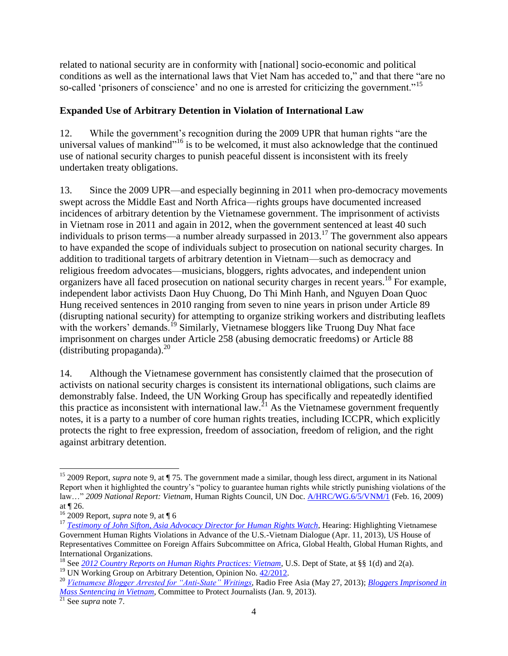related to national security are in conformity with [national] socio-economic and political conditions as well as the international laws that Viet Nam has acceded to," and that there "are no so-called 'prisoners of conscience' and no one is arrested for criticizing the government."<sup>15</sup>

#### **Expanded Use of Arbitrary Detention in Violation of International Law**

12. While the government's recognition during the 2009 UPR that human rights "are the universal values of mankind"<sup>16</sup> is to be welcomed, it must also acknowledge that the continued use of national security charges to punish peaceful dissent is inconsistent with its freely undertaken treaty obligations.

13. Since the 2009 UPR—and especially beginning in 2011 when pro-democracy movements swept across the Middle East and North Africa—rights groups have documented increased incidences of arbitrary detention by the Vietnamese government. The imprisonment of activists in Vietnam rose in 2011 and again in 2012, when the government sentenced at least 40 such individuals to prison terms—a number already surpassed in 2013.<sup>17</sup> The government also appears to have expanded the scope of individuals subject to prosecution on national security charges. In addition to traditional targets of arbitrary detention in Vietnam—such as democracy and religious freedom advocates—musicians, bloggers, rights advocates, and independent union organizers have all faced prosecution on national security charges in recent years.<sup>18</sup> For example, independent labor activists Daon Huy Chuong, Do Thi Minh Hanh, and Nguyen Doan Quoc Hung received sentences in 2010 ranging from seven to nine years in prison under Article 89 (disrupting national security) for attempting to organize striking workers and distributing leaflets with the workers' demands.<sup>19</sup> Similarly, Vietnamese bloggers like Truong Duy Nhat face imprisonment on charges under Article 258 (abusing democratic freedoms) or Article 88 (distributing propaganda). $^{20}$ 

14. Although the Vietnamese government has consistently claimed that the prosecution of activists on national security charges is consistent its international obligations, such claims are demonstrably false. Indeed, the UN Working Group has specifically and repeatedly identified this practice as inconsistent with international law.<sup>21</sup> As the Vietnamese government frequently notes, it is a party to a number of core human rights treaties, including ICCPR, which explicitly protects the right to free expression, freedom of association, freedom of religion, and the right against arbitrary detention.

 $\overline{\phantom{a}}$ <sup>15</sup> 2009 Report, *supra* note 9, at ¶ 75. The government made a similar, though less direct, argument in its National Report when it highlighted the country's "policy to guarantee human rights while strictly punishing violations of the law…" *2009 National Report: Vietnam*, Human Rights Council, UN Doc[. A/HRC/WG.6/5/VNM/1](http://lib.ohchr.org/HRBodies/UPR/Documents/Session5/VN/A_HRC_WG6_5_VNM_1_E.pdf) (Feb. 16, 2009) at ¶ 26.

 $16\,2009$  Report, *supra* note 9, at  $\P\,6$ 

<sup>&</sup>lt;sup>17</sup> *[Testimony of John Sifton, Asia Advocacy Director for Human Rights Watch,](http://docs.house.gov/meetings/FA/FA16/20130411/100637/HHRG-113-FA16-Wstate-SiftonJ-20130411.pdf) Hearing: Highlighting Vietnamese* Government Human Rights Violations in Advance of the U.S.-Vietnam Dialogue (Apr. 11, 2013), US House of Representatives Committee on Foreign Affairs Subcommittee on Africa, Global Health, Global Human Rights, and International Organizations.

<sup>18</sup> See *[2012 Country Reports on Human Rights Practices: Vietnam](http://www.state.gov/documents/organization/204463.pdf)*, U.S. Dept of State, at §§ 1(d) and 2(a).

<sup>&</sup>lt;sup>19</sup> UN Working Group on Arbitrary Detention, Opinion No. [42/2012.](http://daccess-dds-ny.un.org/doc/UNDOC/GEN/G13/112/96/PDF/G1311296.pdf)

<sup>20</sup> *[Vietnamese Blogger Arrested for "Anti-State" Writings,](http://www.rfa.org/english/news/vietnam/blogger-05272013161250.html)* Radio Free Asia (May 27, 2013); *[Bloggers Imprisoned in](http://cpj.org/2013/01/bloggers-imprisoned-in-mass-sentencing-in-vietnam.php)  [Mass Sentencing in Vietnam](http://cpj.org/2013/01/bloggers-imprisoned-in-mass-sentencing-in-vietnam.php)*, Committee to Protect Journalists (Jan. 9, 2013).

<sup>21</sup> See *supra* note 7.